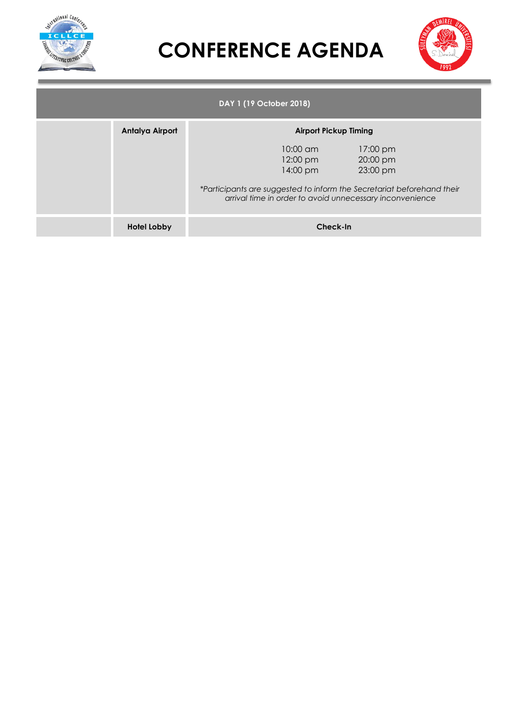



| DAY 1 (19 October 2018) |                    |  |                                            |                                                                                                                                                                        |  |  |  |  |  |
|-------------------------|--------------------|--|--------------------------------------------|------------------------------------------------------------------------------------------------------------------------------------------------------------------------|--|--|--|--|--|
|                         | Antalya Airport    |  | <b>Airport Pickup Timing</b>               |                                                                                                                                                                        |  |  |  |  |  |
|                         |                    |  | $10:00 \text{ cm}$<br>12:00 pm<br>14:00 pm | 17:00 pm<br>20:00 pm<br>23:00 pm<br>*Participants are suggested to inform the Secretariat beforehand their<br>arrival time in order to avoid unnecessary inconvenience |  |  |  |  |  |
|                         | <b>Hotel Lobby</b> |  | Check-In                                   |                                                                                                                                                                        |  |  |  |  |  |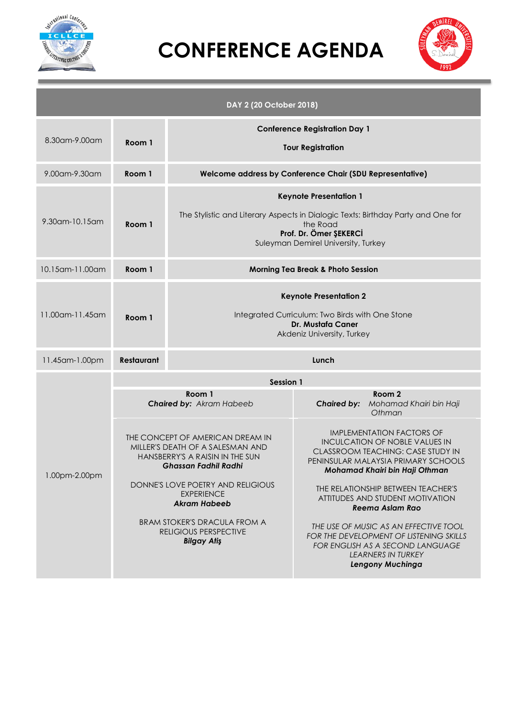



|                 |                   | DAY 2 (20 October 2018)                                                                                                                                                                        |                                                                                                                                                                                         |  |  |  |  |  |  |  |
|-----------------|-------------------|------------------------------------------------------------------------------------------------------------------------------------------------------------------------------------------------|-----------------------------------------------------------------------------------------------------------------------------------------------------------------------------------------|--|--|--|--|--|--|--|
| 8.30am-9.00am   | Room 1            | <b>Conference Registration Day 1</b><br><b>Tour Registration</b>                                                                                                                               |                                                                                                                                                                                         |  |  |  |  |  |  |  |
| 9.00am-9.30am   | Room 1            | Welcome address by Conference Chair (SDU Representative)                                                                                                                                       |                                                                                                                                                                                         |  |  |  |  |  |  |  |
| 9.30am-10.15am  | Room 1            | <b>Keynote Presentation 1</b><br>The Stylistic and Literary Aspects in Dialogic Texts: Birthday Party and One for<br>the Road<br>Prof. Dr. Ömer ŞEKERCİ<br>Suleyman Demirel University, Turkey |                                                                                                                                                                                         |  |  |  |  |  |  |  |
| 10.15am-11.00am | Room 1            | <b>Morning Tea Break &amp; Photo Session</b>                                                                                                                                                   |                                                                                                                                                                                         |  |  |  |  |  |  |  |
| 11.00am-11.45am | Room 1            | <b>Keynote Presentation 2</b><br>Integrated Curriculum: Two Birds with One Stone<br>Dr. Mustafa Caner<br>Akdeniz University, Turkey                                                            |                                                                                                                                                                                         |  |  |  |  |  |  |  |
| 11.45am-1.00pm  | <b>Restaurant</b> | Lunch                                                                                                                                                                                          |                                                                                                                                                                                         |  |  |  |  |  |  |  |
|                 |                   | Session 1                                                                                                                                                                                      |                                                                                                                                                                                         |  |  |  |  |  |  |  |
|                 |                   | Room 1<br>Chaired by: Akram Habeeb                                                                                                                                                             | Room 2<br><b>Chaired by:</b><br>Mohamad Khairi bin Haji<br>Othman                                                                                                                       |  |  |  |  |  |  |  |
| 1.00pm-2.00pm   |                   | THE CONCEPT OF AMERICAN DREAM IN<br>MILLER'S DEATH OF A SALESMAN AND<br>HANSBERRY'S A RAISIN IN THE SUN<br>Ghassan Fadhil Radhi                                                                | <b>IMPLEMENTATION FACTORS OF</b><br><b>INCULCATION OF NOBLE VALUES IN</b><br>CLASSROOM TEACHING: CASE STUDY IN<br>PENINSULAR MALAYSIA PRIMARY SCHOOLS<br>Mohamad Khairi bin Haji Othman |  |  |  |  |  |  |  |
|                 |                   | DONNE'S LOVE POETRY AND RELIGIOUS<br><b>EXPERIENCE</b><br><b>Akram Habeeb</b>                                                                                                                  | THE RELATIONSHIP BETWEEN TEACHER'S<br>ATTITUDES AND STUDENT MOTIVATION<br>Reema Aslam Rao                                                                                               |  |  |  |  |  |  |  |
|                 |                   | <b>BRAM STOKER'S DRACULA FROM A</b><br>RELIGIOUS PERSPECTIVE<br><b>Bilgay Atiş</b>                                                                                                             | THE USE OF MUSIC AS AN EFFECTIVE TOOL<br>FOR THE DEVELOPMENT OF LISTENING SKILLS<br>FOR ENGLISH AS A SECOND LANGUAGE<br><b>LEARNERS IN TURKEY</b><br>Lengony Muchinga                   |  |  |  |  |  |  |  |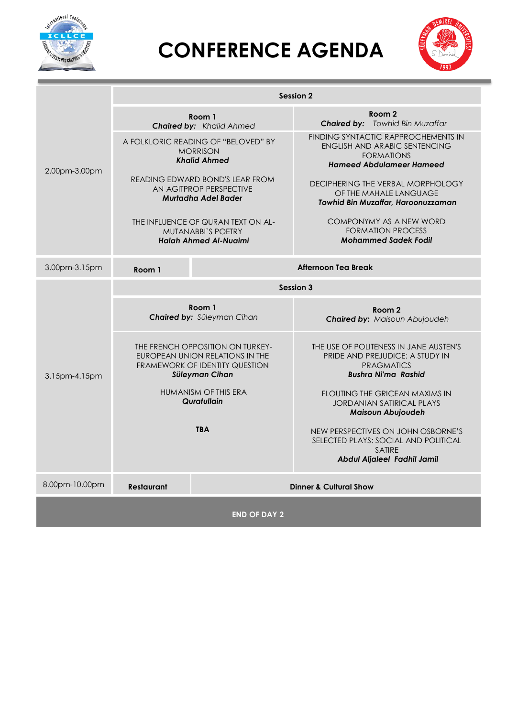



|                | <b>Session 2</b>  |                                                                                                                                |                                                                                                                                     |  |  |  |  |  |  |
|----------------|-------------------|--------------------------------------------------------------------------------------------------------------------------------|-------------------------------------------------------------------------------------------------------------------------------------|--|--|--|--|--|--|
| 2.00pm-3.00pm  |                   | Room 1<br><b>Chaired by: Khalid Ahmed</b>                                                                                      | Room 2<br><b>Chaired by:</b> Towhid Bin Muzaffar                                                                                    |  |  |  |  |  |  |
|                |                   | A FOLKLORIC READING OF "BELOVED" BY<br><b>MORRISON</b><br><b>Khalid Ahmed</b>                                                  | FINDING SYNTACTIC RAPPROCHEMENTS IN<br><b>ENGLISH AND ARABIC SENTENCING</b><br><b>FORMATIONS</b><br><b>Hameed Abdulameer Hameed</b> |  |  |  |  |  |  |
|                |                   | READING EDWARD BOND'S LEAR FROM<br>AN AGITPROP PERSPECTIVE<br><b>Murtadha Adel Bader</b>                                       | DECIPHERING THE VERBAL MORPHOLOGY<br>OF THE MAHALE LANGUAGE<br>Towhid Bin Muzaffar, Haroonuzzaman                                   |  |  |  |  |  |  |
|                |                   | THE INFLUENCE OF QURAN TEXT ON AL-<br><b>MUTANABBI'S POETRY</b><br><b>Halah Ahmed Al-Nuaimi</b>                                | COMPONYMY AS A NEW WORD<br><b>FORMATION PROCESS</b><br><b>Mohammed Sadek Fodil</b>                                                  |  |  |  |  |  |  |
| 3.00pm-3.15pm  | Room 1            |                                                                                                                                | <b>Afternoon Tea Break</b>                                                                                                          |  |  |  |  |  |  |
| 3.15pm-4.15pm  | <b>Session 3</b>  |                                                                                                                                |                                                                                                                                     |  |  |  |  |  |  |
|                |                   | Room 1<br>Chaired by: Süleyman Cihan                                                                                           | Room 2<br><b>Chaired by: Maisoun Abujoudeh</b>                                                                                      |  |  |  |  |  |  |
|                |                   | THE FRENCH OPPOSITION ON TURKEY-<br>EUROPEAN UNION RELATIONS IN THE<br><b>FRAMEWORK OF IDENTITY QUESTION</b><br>Süleyman Cihan | THE USE OF POLITENESS IN JANE AUSTEN'S<br>PRIDE AND PREJUDICE: A STUDY IN<br><b>PRAGMATICS</b><br><b>Bushra Ni'ma Rashid</b>        |  |  |  |  |  |  |
|                |                   | HUMANISM OF THIS ERA<br>Quratullain                                                                                            | FLOUTING THE GRICEAN MAXIMS IN<br><b>JORDANIAN SATIRICAL PLAYS</b><br><b>Maisoun Abujoudeh</b>                                      |  |  |  |  |  |  |
|                |                   | <b>TBA</b>                                                                                                                     | NEW PERSPECTIVES ON JOHN OSBORNE'S<br>SELECTED PLAYS: SOCIAL AND POLITICAL<br><b>SATIRE</b><br>Abdul Aljaleel Fadhil Jamil          |  |  |  |  |  |  |
| 8.00pm-10.00pm | <b>Restaurant</b> |                                                                                                                                | <b>Dinner &amp; Cultural Show</b>                                                                                                   |  |  |  |  |  |  |
|                |                   | <b>END OF DAY 2</b>                                                                                                            |                                                                                                                                     |  |  |  |  |  |  |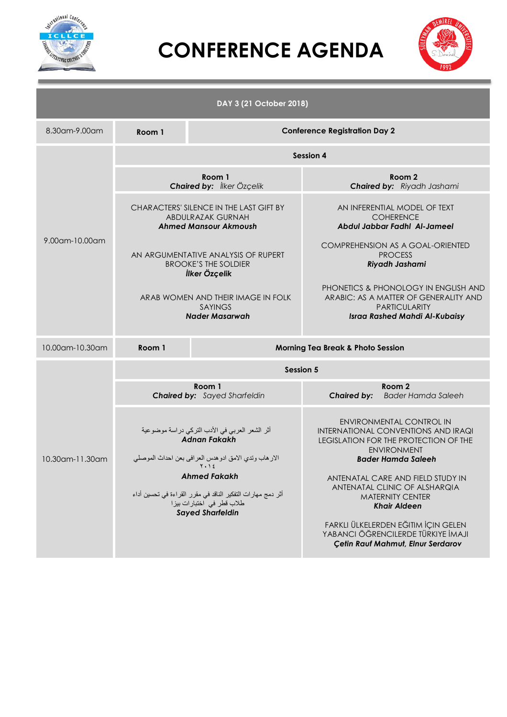



|                 |                  | DAY 3 (21 October 2018)                                                                                                                                                                                                                                                             |                                                                                                                                               |                                                                                                                                                                                                                                                                                                                                                                                                              |  |  |  |  |  |  |
|-----------------|------------------|-------------------------------------------------------------------------------------------------------------------------------------------------------------------------------------------------------------------------------------------------------------------------------------|-----------------------------------------------------------------------------------------------------------------------------------------------|--------------------------------------------------------------------------------------------------------------------------------------------------------------------------------------------------------------------------------------------------------------------------------------------------------------------------------------------------------------------------------------------------------------|--|--|--|--|--|--|
| 8.30am-9.00am   | Room 1           | <b>Conference Registration Day 2</b>                                                                                                                                                                                                                                                |                                                                                                                                               |                                                                                                                                                                                                                                                                                                                                                                                                              |  |  |  |  |  |  |
|                 | <b>Session 4</b> |                                                                                                                                                                                                                                                                                     |                                                                                                                                               |                                                                                                                                                                                                                                                                                                                                                                                                              |  |  |  |  |  |  |
|                 |                  | Room 1<br>Chaired by: <i>İlker Özçelik</i>                                                                                                                                                                                                                                          |                                                                                                                                               | Room 2<br><b>Chaired by:</b> Riyadh Jashami                                                                                                                                                                                                                                                                                                                                                                  |  |  |  |  |  |  |
| 9.00am-10.00am  |                  | CHARACTERS' SILENCE IN THE LAST GIFT BY<br>ABDULRAZAK GURNAH<br><b>Ahmed Mansour Akmoush</b>                                                                                                                                                                                        | AN INFERENTIAL MODEL OF TEXT<br><b>COHERENCE</b><br>Abdul Jabbar Fadhl Al-Jameel                                                              |                                                                                                                                                                                                                                                                                                                                                                                                              |  |  |  |  |  |  |
|                 |                  | AN ARGUMENTATIVE ANALYSIS OF RUPERT<br><b>BROOKE'S THE SOLDIER</b><br>İlker Özçelik                                                                                                                                                                                                 |                                                                                                                                               | COMPREHENSION AS A GOAL-ORIENTED<br><b>PROCESS</b><br>Riyadh Jashami                                                                                                                                                                                                                                                                                                                                         |  |  |  |  |  |  |
|                 |                  | ARAB WOMEN AND THEIR IMAGE IN FOLK<br><b>SAYINGS</b><br><b>Nader Masarwah</b>                                                                                                                                                                                                       | PHONETICS & PHONOLOGY IN ENGLISH AND<br>ARABIC: AS A MATTER OF GENERALITY AND<br><b>PARTICULARITY</b><br><b>Israa Rashed Mahdi Al-Kubaisy</b> |                                                                                                                                                                                                                                                                                                                                                                                                              |  |  |  |  |  |  |
| 10.00am-10.30am | Room 1           |                                                                                                                                                                                                                                                                                     | <b>Morning Tea Break &amp; Photo Session</b>                                                                                                  |                                                                                                                                                                                                                                                                                                                                                                                                              |  |  |  |  |  |  |
|                 |                  | <b>Session 5</b>                                                                                                                                                                                                                                                                    |                                                                                                                                               |                                                                                                                                                                                                                                                                                                                                                                                                              |  |  |  |  |  |  |
|                 |                  | Room 1<br><b>Chaired by:</b> Sayed Sharfeldin                                                                                                                                                                                                                                       | <b>Chaired by:</b>                                                                                                                            | Room 2<br><b>Bader Hamda Saleeh</b>                                                                                                                                                                                                                                                                                                                                                                          |  |  |  |  |  |  |
| 10.30am-11.30am |                  | أثر الشعر العربي في الأدب التركي دراسة موضوعية<br><b>Adnan Fakakh</b><br>الارهاب وتدي الامق ادوهدس العرافي بعن احداث الموصلي<br>۲۰۱٤<br><b>Ahmed Fakakh</b><br>أثر دمج مهار ات التفكير الناقد في مقرر القراءة في تحسين أداء<br>طلاب قطر في اختبارات بيزا<br><b>Sayed Sharfeldin</b> |                                                                                                                                               | ENVIRONMENTAL CONTROL IN<br>INTERNATIONAL CONVENTIONS AND IRAQI<br>LEGISLATION FOR THE PROTECTION OF THE<br><b>ENVIRONMENT</b><br><b>Bader Hamda Saleeh</b><br>ANTENATAL CARE AND FIELD STUDY IN<br>ANTENATAL CLINIC OF ALSHARQIA<br><b>MATERNITY CENTER</b><br><b>Khair Aldeen</b><br>FARKLI ÜLKELERDEN EĞITIM İÇIN GELEN<br>YABANCI ÖĞRENCILERDE TÜRKIYE İMAJI<br><b>Çetin Rauf Mahmut, Elnur Serdarov</b> |  |  |  |  |  |  |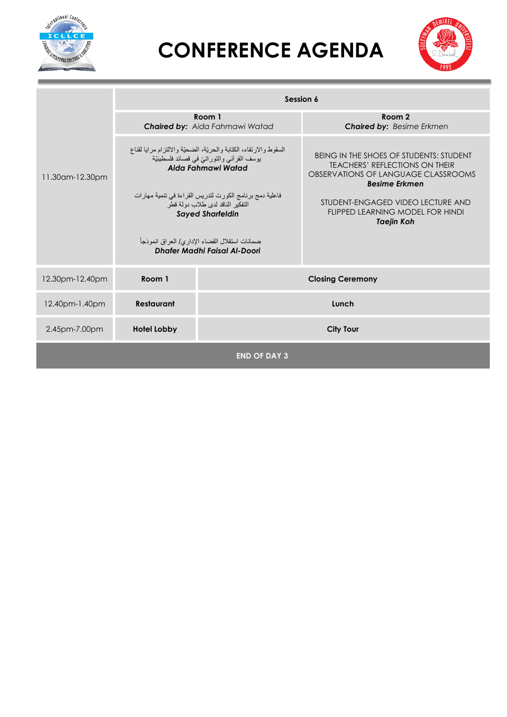



|                 | Session 6          |                                                                                                                                       |                                                                                                                                                 |  |  |  |  |  |  |
|-----------------|--------------------|---------------------------------------------------------------------------------------------------------------------------------------|-------------------------------------------------------------------------------------------------------------------------------------------------|--|--|--|--|--|--|
| 11.30am-12.30pm |                    | Room 1<br>Chaired by: Aida Fahmawi Watad                                                                                              | Room 2<br><b>Chaired by: Besime Erkmen</b>                                                                                                      |  |  |  |  |  |  |
|                 |                    | السقوط والارتقاء، الكتابة والحريّة، الضحيّة والالتزام مرايا لقناع<br>يوسف القرآني والتوراتيّ في قصائد فلسطينيّة<br>Aida Fahmawi Watad | BEING IN THE SHOES OF STUDENTS: STUDENT<br><b>TEACHERS' REFLECTIONS ON THEIR</b><br>OBSERVATIONS OF LANGUAGE CLASSROOMS<br><b>Besime Erkmen</b> |  |  |  |  |  |  |
|                 |                    | فاعلية دمج برنامج الكورت لتدريس القراءة في تنمية مهارات<br>التفكير الناقد لدى طلاب دو لة قطر<br><b>Sayed Sharfeldin</b>               | STUDENT-ENGAGED VIDEO LECTURE AND<br>FLIPPED LEARNING MODEL FOR HINDI<br><b>Taejin Koh</b>                                                      |  |  |  |  |  |  |
|                 |                    | ضمانات استقلال القضاء الإداري/ العراق انموذجاً<br>Dhafer Madhi Faisal Al-Doori                                                        |                                                                                                                                                 |  |  |  |  |  |  |
| 12.30pm-12.40pm | Room 1             |                                                                                                                                       | <b>Closing Ceremony</b>                                                                                                                         |  |  |  |  |  |  |
| 12.40pm-1.40pm  | <b>Restaurant</b>  |                                                                                                                                       | Lunch                                                                                                                                           |  |  |  |  |  |  |
| 2.45pm-7.00pm   | <b>Hotel Lobby</b> |                                                                                                                                       | <b>City Tour</b>                                                                                                                                |  |  |  |  |  |  |
|                 |                    | <b>END OF DAY 3</b>                                                                                                                   |                                                                                                                                                 |  |  |  |  |  |  |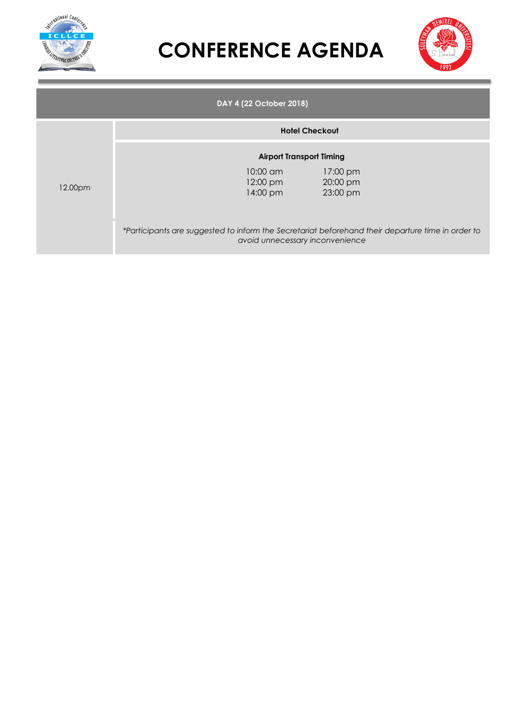



|         |                                            | DAY 4 (22 October 2018)                                                                                                                                                                                     |
|---------|--------------------------------------------|-------------------------------------------------------------------------------------------------------------------------------------------------------------------------------------------------------------|
|         |                                            | <b>Hotel Checkout</b>                                                                                                                                                                                       |
| 12.00pm | $10:00 \text{ cm}$<br>12:00 pm<br>14:00 pm | <b>Airport Transport Timing</b><br>17:00 pm<br>20:00 pm<br>23:00 pm<br>*Participants are suggested to inform the Secretariat beforehand their departure time in order to<br>avoid unnecessary inconvenience |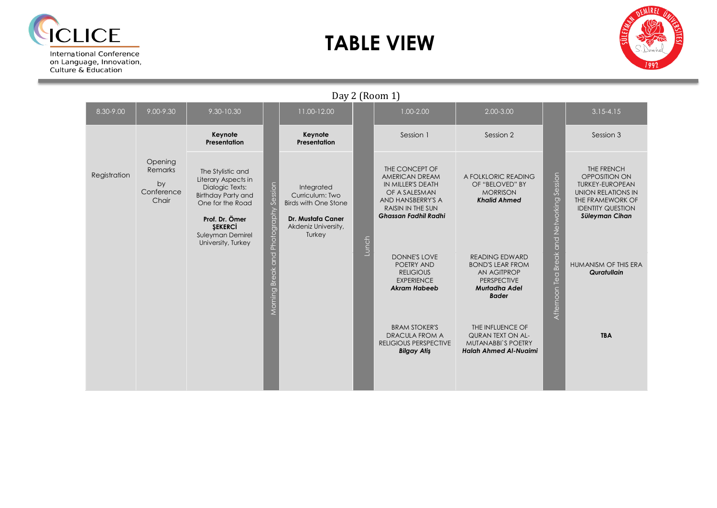

on Language, Innovation,<br>Culture & Education

### **TABLE VIEW**



|              |                                                 |                                                                                                                                                                                            |                                       |                                                                                                                           |       | $Ddy \angle (NUUIII1)$                                                                                                                                 |                                                                                                                        |                                    |                                                                                                                                               |
|--------------|-------------------------------------------------|--------------------------------------------------------------------------------------------------------------------------------------------------------------------------------------------|---------------------------------------|---------------------------------------------------------------------------------------------------------------------------|-------|--------------------------------------------------------------------------------------------------------------------------------------------------------|------------------------------------------------------------------------------------------------------------------------|------------------------------------|-----------------------------------------------------------------------------------------------------------------------------------------------|
| 8.30-9.00    | 9.00-9.30                                       | 9.30-10.30                                                                                                                                                                                 |                                       | 11.00-12.00                                                                                                               |       | $1.00 - 2.00$                                                                                                                                          | 2.00-3.00                                                                                                              |                                    | $3.15 - 4.15$                                                                                                                                 |
|              |                                                 | Keynote<br>Presentation                                                                                                                                                                    |                                       | Keynote<br>Presentation                                                                                                   |       | Session 1                                                                                                                                              | Session 2                                                                                                              |                                    | Session 3                                                                                                                                     |
| Registration | Opening<br>Remarks<br>by<br>Conference<br>Chair | The Stylistic and<br>Literary Aspects in<br>Dialogic Texts:<br><b>Birthday Party and</b><br>One for the Road<br>Prof. Dr. Ömer<br><b>SEKERCI</b><br>Suleyman Demirel<br>University, Turkey | Morning Break and Photography Session | Integrated<br>Curriculum: Two<br><b>Birds with One Stone</b><br><b>Dr. Mustafa Caner</b><br>Akdeniz University,<br>Turkey | Lunch | THE CONCEPT OF<br>AMERICAN DREAM<br>IN MILLER'S DEATH<br>OF A SALESMAN<br>AND HANSBERRY'S A<br><b>RAISIN IN THE SUN</b><br><b>Ghassan Fadhil Radhi</b> | A FOLKLORIC READING<br>OF "BELOVED" BY<br><b>MORRISON</b><br><b>Khalid Ahmed</b>                                       | Session                            | THE FRENCH<br>OPPOSITION ON<br><b>TURKEY-EUROPEAN</b><br>UNION RELATIONS IN<br>THE FRAMEWORK OF<br><b>IDENTITY QUESTION</b><br>Süleyman Cihan |
|              |                                                 |                                                                                                                                                                                            |                                       |                                                                                                                           |       | DONNE'S LOVE<br>POETRY AND<br><b>RELIGIOUS</b><br><b>EXPERIENCE</b><br><b>Akram Habeeb</b>                                                             | <b>READING EDWARD</b><br><b>BOND'S LEAR FROM</b><br>AN AGITPROP<br><b>PERSPECTIVE</b><br>Murtadha Adel<br><b>Bader</b> | Afternoon Tea Break and Networking | HUMANISM OF THIS ERA<br>Quratullain                                                                                                           |
|              |                                                 |                                                                                                                                                                                            |                                       |                                                                                                                           |       | <b>BRAM STOKER'S</b><br><b>DRACULA FROM A</b><br><b>RELIGIOUS PERSPECTIVE</b><br><b>Bilgay Atis</b>                                                    | THE INFLUENCE OF<br>QURAN TEXT ON AL-<br><b>MUTANABBI'S POETRY</b><br><b>Halah Ahmed Al-Nuaimi</b>                     |                                    | <b>TBA</b>                                                                                                                                    |

Day 2 (Room 1)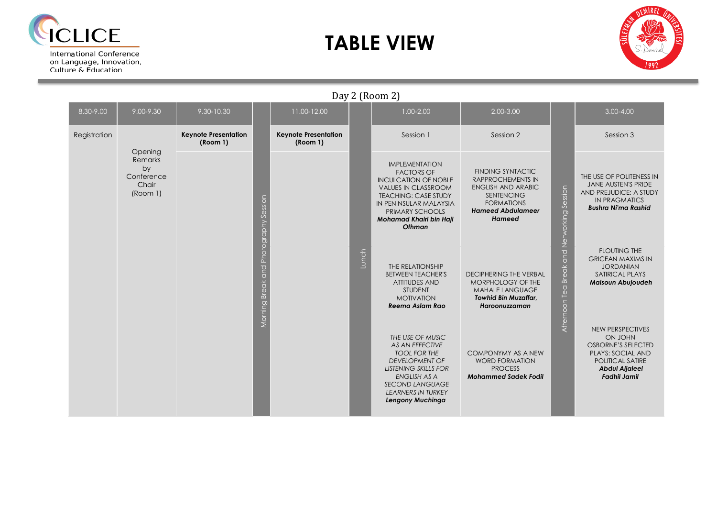

on Language, Innovation. Culture & Education

### **TABLE VIEW**



Day 2 (Room 2) 8.30-9.00 9.00-9.30 9.30-10.30 11.00-12.00 1.00-2.00 2.00-3.00 3.00-4.00 Registration **Keynote Presentation Keynote Presentation** Session 1 Session 2 Session 2 Session 3 **(Room 1) (Room 1) Opening** Remarks IMPLEMENTATION by FINDING SYNTACTIC FACTORS OF Conference THE USE OF POLITENESS IN RAPPROCHEMENTS IN INCULCATION OF NOBLE JANE AUSTEN'S PRIDE Chair ENGLISH AND ARABIC VALUES IN CLASSROOM  $\overline{5}$ Afternoon Tea Break and Networking Session AND PREJUDICE: A STUDY (Room 1) **SENTENCING** TEACHING: CASE STUDY Morning Break and Photography Session Morning Break and Photography Session and Networking Sess IN PRAGMATICS FORMATIONS IN PENINSULAR MALAYSIA *Bushra Ni'ma Rashid* PRIMARY SCHOOLS *Hameed Abdulameer Hameed Mohamad Khairi bin Haji Othman* FLOUTING THE Lunch GRICEAN MAXIMS IN THE RELATIONSHIP JORDANIAN Break BETWEEN TEACHER'S DECIPHERING THE VERBAL SATIRICAL PLAYS ATTITUDES AND MORPHOLOGY OF THE *Maisoun Abujoudeh*  Afternoon Tea STUDENT MAHALE LANGUAGE MOTIVATION *Towhid Bin Muzaffar, Reema Aslam Rao Haroonuzzaman*  NEW PERSPECTIVES *THE USE OF MUSIC*  ON JOHN *AS AN EFFECTIVE*  OSBORNE'S SELECTED *TOOL FOR THE*  COMPONYMY AS A NEW PLAYS: SOCIAL AND *DEVELOPMENT OF*  WORD FORMATION POLITICAL SATIRE *LISTENING SKILLS FOR*  PROCESS *Abdul Aljaleel Fadhil Jamil ENGLISH AS A Mohammed Sadek Fodil SECOND LANGUAGE LEARNERS IN TURKEY Lengony Muchinga*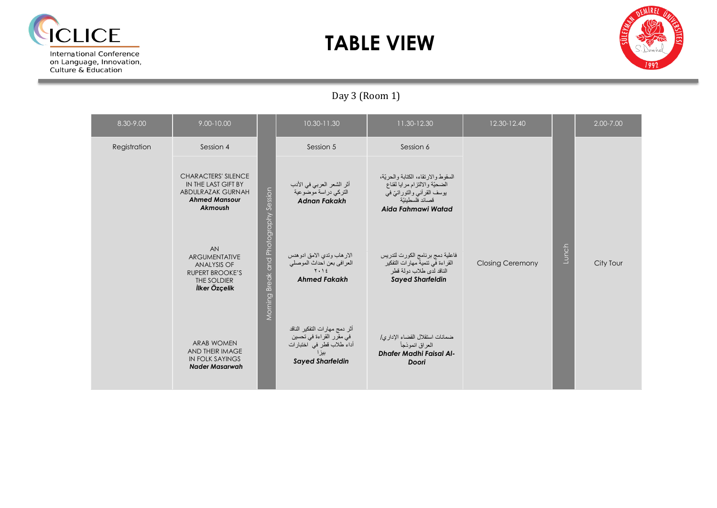

### **TABLE VIEW**



### Day 3 (Room 1)

| 8.30-9.00    | 9.00-10.00                                                                                                       |                                       | 10.30-11.30                                                                                                                 | 11.30-12.30                                                                                                                                 | 12.30-12.40             |       | 2.00-7.00 |
|--------------|------------------------------------------------------------------------------------------------------------------|---------------------------------------|-----------------------------------------------------------------------------------------------------------------------------|---------------------------------------------------------------------------------------------------------------------------------------------|-------------------------|-------|-----------|
| Registration | Session 4                                                                                                        |                                       | Session 5                                                                                                                   | Session 6                                                                                                                                   |                         |       |           |
|              | <b>CHARACTERS' SILENCE</b><br>IN THE LAST GIFT BY<br><b>ABDULRAZAK GURNAH</b><br><b>Ahmed Mansour</b><br>Akmoush |                                       | أثر الشعر العربي في الأدب<br>التركي دراسة موضوعية<br><b>Adnan Fakakh</b>                                                    | السقوط والارتقاء، الكتابة والحريّة،<br>الضحيّة والالتزام مرايا لقناع<br>يوسف القرآني والتوراتيّ في<br>قصائد فلسطبنبّة<br>Aida Fahmawi Watad |                         |       |           |
|              | AN<br><b>ARGUMENTATIVE</b><br>ANALYSIS OF<br><b>RUPERT BROOKE'S</b><br>THE SOLDIER<br>İlker Özçelik              | Morning Break and Photography Session | الار هاب وتدي الامق ادو هدس<br>العرافي بعن احداث الموصلي<br>$Y \cdot Y$<br><b>Ahmed Fakakh</b>                              | فاعلية دمج برنامج الكورت لتدريس<br>القراءة في تنمية مهار ات التفكير<br>الناقد لدى طلاب دولة قطر<br><b>Sayed Sharfeldin</b>                  | <b>Closing Ceremony</b> | Lunch | City Tour |
|              | <b>ARAB WOMEN</b><br>AND THEIR IMAGE<br><b>IN FOLK SAYINGS</b><br><b>Nader Masarwah</b>                          |                                       | أثر دمج مهارات التفكير الناقد<br>في مقرّر القراءة في تحسين<br>أداء طلاب قطر في اختبارات<br>بيز ا<br><b>Sayed Sharfeldin</b> | ضمانات استقلال القضاء الإداري/<br>العراق انموذجأ<br><b>Dhafer Madhi Faisal Al-</b><br>Doori                                                 |                         |       |           |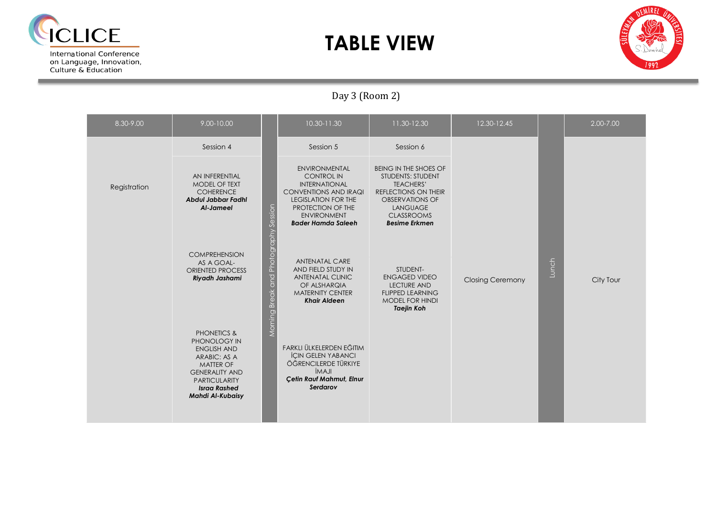

### **TABLE VIEW**



### Day 3 (Room 2)

| 8.30-9.00    | 9.00-10.00                                                                                                                                                                                          |                                       | 10.30-11.30                                                                                                                                                                                             | 11.30-12.30                                                                                                                                                                                    | 12.30-12.45             |       | 2.00-7.00 |
|--------------|-----------------------------------------------------------------------------------------------------------------------------------------------------------------------------------------------------|---------------------------------------|---------------------------------------------------------------------------------------------------------------------------------------------------------------------------------------------------------|------------------------------------------------------------------------------------------------------------------------------------------------------------------------------------------------|-------------------------|-------|-----------|
|              | Session 4                                                                                                                                                                                           |                                       | Session 5                                                                                                                                                                                               | Session 6                                                                                                                                                                                      |                         |       |           |
| Registration | AN INFERENTIAL<br>MODEL OF TEXT<br><b>COHERENCE</b><br><b>Abdul Jabbar Fadhl</b><br>Al-Jameel                                                                                                       |                                       | <b>ENVIRONMENTAL</b><br><b>CONTROL IN</b><br><b>INTERNATIONAL</b><br><b>CONVENTIONS AND IRAQI</b><br><b>LEGISLATION FOR THE</b><br>PROTECTION OF THE<br><b>ENVIRONMENT</b><br><b>Bader Hamda Saleeh</b> | <b>BEING IN THE SHOES OF</b><br><b>STUDENTS: STUDENT</b><br><b>TEACHERS'</b><br>REFLECTIONS ON THEIR<br><b>OBSERVATIONS OF</b><br><b>LANGUAGE</b><br><b>CLASSROOMS</b><br><b>Besime Erkmen</b> |                         |       |           |
|              | <b>COMPREHENSION</b><br>AS A GOAL-<br><b>ORIENTED PROCESS</b><br>Riyadh Jashami                                                                                                                     | Morning Break and Photography Session | <b>ANTENATAL CARE</b><br>AND FIELD STUDY IN<br><b>ANTENATAL CLINIC</b><br>OF ALSHARQIA<br><b>MATERNITY CENTER</b><br><b>Khair Aldeen</b>                                                                | STUDENT-<br><b>ENGAGED VIDEO</b><br><b>LECTURE AND</b><br><b>FLIPPED LEARNING</b><br><b>MODEL FOR HINDI</b><br><b>Taejin Koh</b>                                                               | <b>Closing Ceremony</b> | Lunch | City Tour |
|              | <b>PHONETICS &amp;</b><br>PHONOLOGY IN<br><b>ENGLISH AND</b><br>ARABIC: AS A<br><b>MATTER OF</b><br><b>GENERALITY AND</b><br><b>PARTICULARITY</b><br><b>Israa Rashed</b><br><b>Mahdi Al-Kubaisy</b> |                                       | FARKLI ÜLKELERDEN EĞITIM<br><b>ICIN GELEN YABANCI</b><br>ÖĞRENCILERDE TÜRKIYE<br><b>IMAJI</b><br>Çetin Rauf Mahmut, Elnur<br>Serdarov                                                                   |                                                                                                                                                                                                |                         |       |           |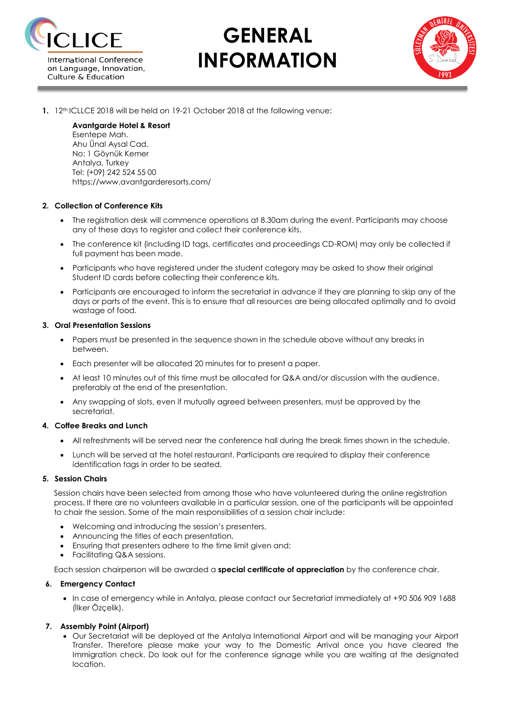

# **GENERAL INFORMATION**



**1.** 12<sup>th</sup> ICLLCE 2018 will be held on 19-21 October 2018 at the following venue:

### **Avantgarde Hotel & Resort** Esentepe Mah. Ahu Ünal Aysal Cad. No: 1 Göynük Kemer

Antalya, Turkey Tel: (+09) 242 524 55 00 https://www.avantgarderesorts.com/

#### **2. Collection of Conference Kits**

- The registration desk will commence operations at 8.30am during the event. Participants may choose any of these days to register and collect their conference kits.
- The conference kit (including ID tags, certificates and proceedings CD-ROM) may only be collected if full payment has been made.
- Participants who have registered under the student category may be asked to show their original Student ID cards before collecting their conference kits.
- Participants are encouraged to inform the secretariat in advance if they are planning to skip any of the days or parts of the event. This is to ensure that all resources are being allocated optimally and to avoid wastage of food.

#### **3. Oral Presentation Sessions**

- Papers must be presented in the sequence shown in the schedule above without any breaks in between.
- Each presenter will be allocated 20 minutes for to present a paper.
- At least 10 minutes out of this time must be allocated for Q&A and/or discussion with the audience, preferably at the end of the presentation.
- Any swapping of slots, even if mutually agreed between presenters, must be approved by the secretariat.

#### **4. Coffee Breaks and Lunch**

- All refreshments will be served near the conference hall during the break times shown in the schedule.
- Lunch will be served at the hotel restaurant. Participants are required to display their conference identification tags in order to be seated.

#### **5. Session Chairs**

Session chairs have been selected from among those who have volunteered during the online registration process. If there are no volunteers available in a particular session, one of the participants will be appointed to chair the session. Some of the main responsibilities of a session chair include:

- Welcoming and introducing the session's presenters,
- Announcing the titles of each presentation,
- Ensuring that presenters adhere to the time limit given and;
- Facilitating Q&A sessions.

Each session chairperson will be awarded a **special certificate of appreciation** by the conference chair.

#### **6. Emergency Contact**

 In case of emergency while in Antalya, please contact our Secretariat immediately at +90 506 909 1688 (İlker Özçelik).

#### **7. Assembly Point (Airport)**

 Our Secretariat will be deployed at the Antalya International Airport and will be managing your Airport Transfer. Therefore please make your way to the Domestic Arrival once you have cleared the Immigration check. Do look out for the conference signage while you are waiting at the designated location.